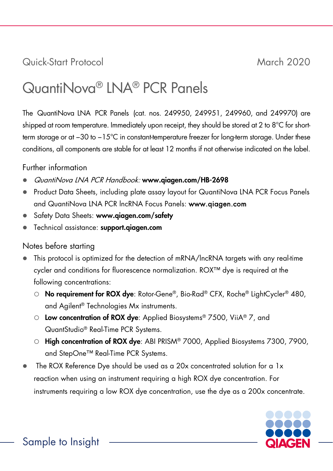# Quick-Start Protocol March 2020

# QuantiNova® LNA® PCR Panels

The QuantiNova LNA PCR Panels (cat. nos. 249950, 249951, 249960, and 249970) are shipped at room temperature. Immediately upon receipt, they should be stored at 2 to 8°C for shortterm storage or at −30 to −15°C in constant-temperature freezer for long-term storage. Under these conditions, all components are stable for at least 12 months if not otherwise indicated on the label.

# Further information

- QuantiNova LNA PCR Handbook: [www.qiagen.com/HB-2](http://www.qiagen.com/HB-2)698
- Product Data Sheets, including plate assay layout for QuantiNova LNA PCR Focus Panels and QuantiNova LNA PCR lncRNA Focus Panels: www.qiagen.com
- Safety Data Sheets: www.qiagen.com/safety
- Technical assistance: <support.qiagen.com>

# Notes before starting

- This protocol is optimized for the detection of mRNA/lncRNA targets with any real-time cycler and conditions for fluorescence normalization. ROX™ dye is required at the following concentrations:
	- O No requirement for ROX dye: Rotor-Gene®, Bio-Rad® CFX, Roche® LightCycler® 480, and Agilent® Technologies Mx instruments.
	- Low concentration of ROX dye: Applied Biosystems® 7500, ViiA® 7, and QuantStudio® Real-Time PCR Systems.
	- O High concentration of ROX dye: ABI PRISM® 7000, Applied Biosystems 7300, 7900, and StepOne™ Real-Time PCR Systems.
- The ROX Reference Dye should be used as a 20x concentrated solution for a 1x reaction when using an instrument requiring a high ROX dye concentration. For instruments requiring a low ROX dye concentration, use the dye as a 200x concentrate.

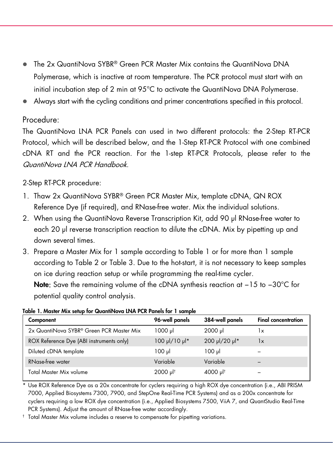- The 2x QuantiNova SYBR® Green PCR Master Mix contains the QuantiNova DNA Polymerase, which is inactive at room temperature. The PCR protocol must start with an initial incubation step of 2 min at 95°C to activate the QuantiNova DNA Polymerase.
- Always start with the cycling conditions and primer concentrations specified in this protocol.

#### Procedure:

The QuantiNova LNA PCR Panels can used in two different protocols: the 2-Step RT-PCR Protocol, which will be described below, and the 1-Step RT-PCR Protocol with one combined cDNA RT and the PCR reaction. For the 1-step RT-PCR Protocols, please refer to the QuantiNova LNA PCR Handbook.

### 2-Step RT-PCR procedure:

- 1. Thaw 2x QuantiNova SYBR® Green PCR Master Mix, template cDNA, QN ROX Reference Dye (if required), and RNase-free water. Mix the individual solutions.
- 2. When using the QuantiNova Reverse Transcription Kit, add 90 µl RNase-free water to each 20 µl reverse transcription reaction to dilute the cDNA. Mix by pipetting up and down several times.
- 3. Prepare a Master Mix for 1 sample according to Table 1 or for more than 1 sample according to Table 2 or Table 3. Due to the hot-start, it is not necessary to keep samples on ice during reaction setup or while programming the real-time cycler.

Note: Save the remaining volume of the cDNA synthesis reaction at −15 to −30°C for potential quality control analysis.

| Component                                | 96-well panels                   | 384-well panels      | <b>Final concentration</b> |
|------------------------------------------|----------------------------------|----------------------|----------------------------|
| 2x QuantiNova SYBR® Green PCR Master Mix | 1000 ul                          | $2000 \text{ pl}$    | 1x                         |
| ROX Reference Dye (ABI instruments only) | $100 \mu$ /10 $\mu$ <sup>*</sup> | 200 µl/20 µl*        | 1x                         |
| Diluted cDNA template                    | $100 \mu$                        | $100 \mu$            |                            |
| RNase-free water                         | Variable                         | Variable             |                            |
| Total Master Mix volume                  | $2000 \mu$ <sup>t</sup>          | 4000 µl <sup>t</sup> |                            |

Table 1. Master Mix setup for QuantiNova LNA PCR Panels for 1 sample

\* Use ROX Reference Dye as a 20x concentrate for cyclers requiring a high ROX dye concentration (i.e., ABI PRISM 7000, Applied Biosystems 7300, 7900, and StepOne Real-Time PCR Systems) and as a 200x concentrate for cyclers requiring a low ROX dye concentration (i.e., Applied Biosystems 7500, ViiA 7, and QuantStudio Real-Time PCR Systems). Adjust the amount of RNase-free water accordingly.

† Total Master Mix volume includes a reserve to compensate for pipetting variations.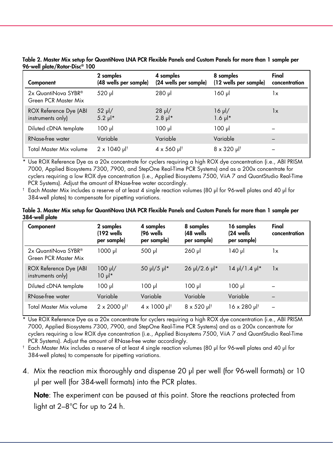| Component                                   | 2 samples<br>(48 wells per sample) | 4 samples<br>(24 wells per sample)   | 8 samples<br>(12 wells per sample) | Final<br>concentration |
|---------------------------------------------|------------------------------------|--------------------------------------|------------------------------------|------------------------|
| 2x QuantiNova SYBR®<br>Green PCR Master Mix | 520 µl                             | $280$ pl                             | $160$ pl                           | 1x                     |
| ROX Reference Dye (ABI<br>instruments only) | $52 \mu$ /<br>$5.2 \text{ pl}^*$   | $28 \mu$ /<br>$2.8 \mu$ <sup>*</sup> | $16 \mu$<br>$1.6 \mu$ <sup>*</sup> | 1x                     |
| Diluted cDNA template                       | 100 µl                             | 100 µl                               | $100 \mu$                          |                        |
| <b>RNase-free water</b>                     | Variable                           | Variable                             | Variable                           |                        |
| Total Master Mix volume                     | $2 \times 1040 \text{ pl}^+$       | $4 \times 560 \text{ pl}^+$          | $8 \times 320 \text{ pl}^+$        |                        |

Table 2. Master Mix setup for QuantiNova LNA PCR Flexible Panels and Custom Panels for more than 1 sample per 96-well plate/Rotor-Disc® 100

\* Use ROX Reference Dye as a 20x concentrate for cyclers requiring a high ROX dye concentration (i.e., ABI PRISM 7000, Applied Biosystems 7300, 7900, and StepOne Real-Time PCR Systems) and as a 200x concentrate for cyclers requiring a low ROX dye concentration (i.e., Applied Biosystems 7500, ViiA 7 and QuantStudio Real-Time PCR Systems). Adjust the amount of RNase-free water accordingly.

† Each Master Mix includes a reserve of at least 4 single reaction volumes (80 µl for 96-well plates and 40 µl for 384-well plates) to compensate for pipetting variations.

#### Table 3. Master Mix setup for QuantiNova LNA PCR Flexible Panels and Custom Panels for more than 1 sample per 384-well plate

| Component                                   | 2 samples<br>(192 wells)<br>per sample) | 4 samples<br>(96 wells<br>per sample) | 8 samples<br>(48 wells<br>per sample) | 16 samples<br>$(24 \text{ wells})$<br>per sample) | Final<br>concentration   |
|---------------------------------------------|-----------------------------------------|---------------------------------------|---------------------------------------|---------------------------------------------------|--------------------------|
| 2x QuantiNova SYBR®<br>Green PCR Master Mix | lu <sub>000</sub>                       | 500 µl                                | $260$ pl                              | 140 µl                                            | 1x                       |
| ROX Reference Dye (ABI<br>instruments only) | $100 \mu$ /<br>$10 \mu$ <sup>*</sup>    | 50 µl/5 µl*                           | $26 \mu$ /2.6 $\mu$ <sup>*</sup>      | $14$ µ /1.4 µ *                                   | 1x                       |
| Diluted cDNA template                       | $100 \mu$                               | 100 µl                                | $100 \mu$                             | $100 \mu$                                         |                          |
| RNase-free water                            | Variable                                | Variable                              | Variable                              | Variable                                          |                          |
| Total Master Mix volume                     | $2 \times 2000 \mu$ <sup>†</sup>        | $4 \times 1000 \mu$ <sup>†</sup>      | $8 \times 520 \text{ pl}^+$           | 16 x 280 µl <sup>†</sup>                          | $\overline{\phantom{0}}$ |

Use ROX Reference Dye as a 20x concentrate for cyclers requiring a high ROX dye concentration (i.e., ABI PRISM 7000, Applied Biosystems 7300, 7900, and StepOne Real-Time PCR Systems) and as a 200x concentrate for cyclers requiring a low ROX dye concentration (i.e., Applied Biosystems 7500, ViiA 7 and QuantStudio Real-Time PCR Systems). Adjust the amount of RNase-free water accordingly.

† Each Master Mix includes a reserve of at least 4 single reaction volumes (80 µl for 96-well plates and 40 µl for 384-well plates) to compensate for pipetting variations.

4. Mix the reaction mix thoroughly and dispense 20 μl per well (for 96-well formats) or 10 μl per well (for 384-well formats) into the PCR plates.

Note: The experiment can be paused at this point. Store the reactions protected from light at 2–8°C for up to 24 h.